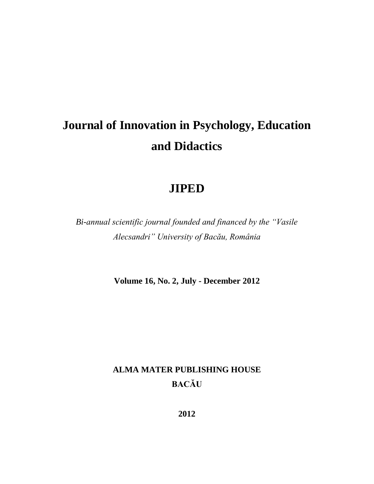# **Journal of Innovation in Psychology, Education and Didactics**

# **JIPED**

*Bi-annual scientific journal founded and financed by the "Vasile Alecsandri" University of Bacău, România*

**Volume 16, No. 2, July - December 2012**

# **ALMA MATER PUBLISHING HOUSE BACĂU**

**2012**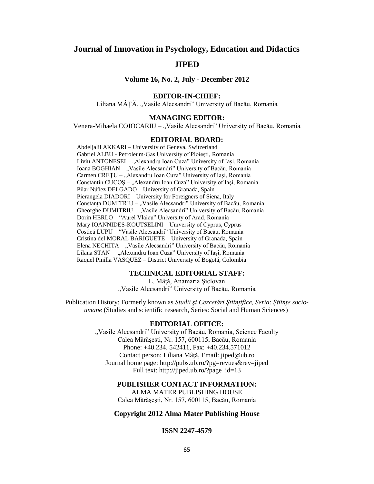# **Journal of Innovation in Psychology, Education and Didactics**

## **JIPED**

**Volume 16, No. 2, July - December 2012**

#### **EDITOR-IN-CHIEF:**

Liliana MÂȚĂ, "Vasile Alecsandri" University of Bacău, Romania

#### **MANAGING EDITOR:**

Venera-Mihaela COJOCARIU – "Vasile Alecsandri" University of Bacău, Romania

#### **EDITORIAL BOARD:**

Abdeljalil AKKARI – University of Geneva, Switzerland Gabriel ALBU - Petroleum-Gas University of Ploieşti, Romania Liviu ANTONESEI – "Alexandru Ioan Cuza" University of Iași, Romania Ioana BOGHIAN – "Vasile Alecsandri" University of Bacău, Romania Carmen CREȚU – "Alexandru Ioan Cuza" University of Iași, Romania Constantin CUCOS – "Alexandru Ioan Cuza" University of Iasi, Romania Pilar Núñez DELGADO – University of Granada, Spain Pierangela DIADORI – University for Foreigners of Siena, Italy Constanța DUMITRIU – "Vasile Alecsandri" University of Bacău, Romania Gheorghe DUMITRIU – "Vasile Alecsandri" University of Bacău, Romania Dorin HERLO – "Aurel Vlaicu" University of Arad, Romania Mary IOANNIDES-KOUTSELINI – Unıversity of Cyprus, Cyprus Costică LUPU – "Vasile Alecsandri" University of Bacău, Romania Cristina del MORAL BARIGUETE – University of Granada, Spain Elena NECHITA – "Vasile Alecsandri" University of Bacău, Romania Lilana STAN – "Alexandru Ioan Cuza" University of Iași, Romania Raquel Pinilla VASQUEZ – District University of Bogotá, Colombia

#### **TECHNICAL EDITORIAL STAFF:**

L. Mâţă, Anamaria Şiclovan "Vasile Alecsandri" University of Bacău, Romania

Publication History: Formerly known as *Studii şi Cercetări Ştiinţifice, Seria: Ştiinţe socioumane* (Studies and scientific research, Series: Social and Human Sciences)

#### **EDITORIAL OFFICE:**

"Vasile Alecsandri" University of Bacău, Romania, Science Faculty Calea Mărăşeşti, Nr. 157, 600115, Bacău, Romania Phone: +40.234. 542411, Fax: +40.234.571012 Contact person: Liliana Mâtă, Email: [jiped@ub.ro](mailto:jiped@ub.ro) Journal home page: <http://pubs.ub.ro/?pg=revues&rev=jiped> Full text: [http://jiped.ub.ro/?page\\_id=13](http://jiped.ub.ro/?page_id=13)

#### **PUBLISHER CONTACT INFORMATION:**

ALMA MATER PUBLISHING HOUSE Calea Mărăşeşti, Nr. 157, 600115, Bacău, Romania

#### **Copyright 2012 Alma Mater Publishing House**

#### **ISSN 2247-4579**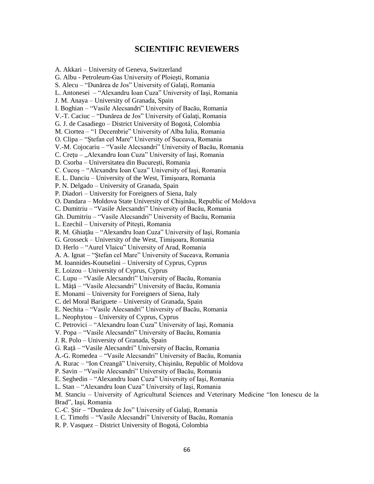## **SCIENTIFIC REVIEWERS**

A. Akkari – University of Geneva, Switzerland G. Albu - Petroleum-Gas University of Ploieşti, Romania S. Alecu – "Dunărea de Jos" University of Galati, Romania L. Antonesei – "Alexandru Ioan Cuza" University of Iaşi, Romania J. M. Anaya – University of Granada, Spain I. Boghian – "Vasile Alecsandri" University of Bacău, Romania V.-T. Caciuc – "Dunărea de Jos" University of Galaţi, Romania G. J. de Casadiego – District University of Bogotá, Colombia M. Ciortea – "1 Decembrie" University of Alba Iulia, Romania O. Clipa – "Ştefan cel Mare" University of Suceava, Romania V.-M. Cojocariu – "Vasile Alecsandri" University of Bacău, Romania C. Crețu – "Alexandru Ioan Cuza" University of Iași, Romania D. Csorba – Universitatea din Bucureşti, Romania C. Cucoş – "Alexandru Ioan Cuza" University of Iaşi, Romania E. L. Danciu – University of the West, Timişoara, Romania P. N. Delgado – University of Granada, Spain P. Diadori – University for Foreigners of Siena, Italy O. Dandara – Moldova State University of Chişinău, Republic of Moldova C. Dumitriu – "Vasile Alecsandri" University of Bacău, Romania Gh. Dumitriu – "Vasile Alecsandri" University of Bacău, Romania L. Ezechil – University of Piteşti, Romania R. M. Ghiaţău – "Alexandru Ioan Cuza" University of Iaşi, Romania G. Grosseck – University of the West, Timişoara, Romania D. Herlo – "Aurel Vlaicu" University of Arad, Romania A. A. Ignat – "Ştefan cel Mare" University of Suceava, Romania M. Ioannides-Koutselini – University of Cyprus, Cyprus E. Loizou – University of Cyprus, Cyprus C. Lupu – "Vasile Alecsandri" University of Bacău, Romania L. Mâţă – "Vasile Alecsandri" University of Bacău, Romania E. Monami – University for Foreigners of Siena, Italy C. del Moral Bariguete – University of Granada, Spain E. Nechita – "Vasile Alecsandri" University of Bacău, Romania L. Neophytou – University of Cyprus, Cyprus C. Petrovici – "Alexandru Ioan Cuza" University of Iaşi, Romania V. Popa – "Vasile Alecsandri" University of Bacău, Romania J. R. Polo – University of Granada, Spain G. Raţă – "Vasile Alecsandri" University of Bacău, Romania A.-G. Romedea – "Vasile Alecsandri" University of Bacău, Romania A. Rurac – "Ion Creangă" University, Chişinău, Republic of Moldova P. Savin – "Vasile Alecsandri" University of Bacău, Romania E. Seghedin – "Alexandru Ioan Cuza" University of Iaşi, Romania L. Stan – "Alexandru Ioan Cuza" University of Iaşi, Romania M. Stanciu – University of Agricultural Sciences and Veterinary Medicine "Ion Ionescu de la Brad", Iaşi, Romania C.-C. Ştir – "Dunărea de Jos" University of Galaţi, Romania I. C. Timofti – "Vasile Alecsandri" University of Bacău, Romania R. P. Vasquez – District University of Bogotá, Colombia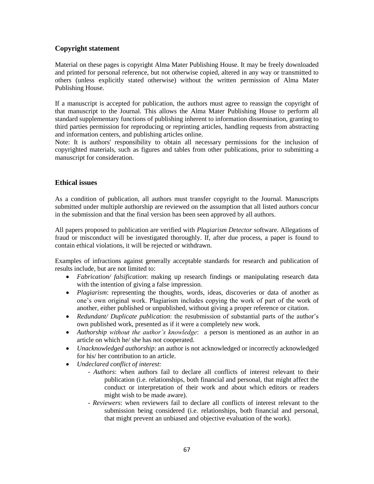### **Copyright statement**

Material on these pages is copyright Alma Mater Publishing House. It may be freely downloaded and printed for personal reference, but not otherwise copied, altered in any way or transmitted to others (unless explicitly stated otherwise) without the written permission of Alma Mater Publishing House.

If a manuscript is accepted for publication, the authors must agree to reassign the copyright of that manuscript to the Journal. This allows the Alma Mater Publishing House to perform all standard supplementary functions of publishing inherent to information dissemination, granting to third parties permission for reproducing or reprinting articles, handling requests from abstracting and information centers, and publishing articles online.

Note: It is authors' responsibility to obtain all necessary permissions for the inclusion of copyrighted materials, such as figures and tables from other publications, prior to submitting a manuscript for consideration.

### **Ethical issues**

As a condition of publication, all authors must transfer copyright to the Journal. Manuscripts submitted under multiple authorship are reviewed on the assumption that all listed authors concur in the submission and that the final version has been seen approved by all authors.

All papers proposed to publication are verified with *Plagiarism Detector* software. Allegations of fraud or misconduct will be investigated thoroughly. If, after due process, a paper is found to contain ethical violations, it will be rejected or withdrawn.

Examples of infractions against generally acceptable standards for research and publication of results include, but are not limited to:

- *Fabrication/ falsification*: making up research findings or manipulating research data with the intention of giving a false impression.
- *Plagiarism*: representing the thoughts, words, ideas, discoveries or data of another as one's own original work. Plagiarism includes copying the work of part of the work of another, either published or unpublished, without giving a proper reference or citation.
- *Redundant/ Duplicate publication*: the resubmission of substantial parts of the author's own published work, presented as if it were a completely new work.
- *Authorship without the author's knowledge*: a person is mentioned as an author in an article on which he/ she has not cooperated.
- *Unacknowledged authorship*: an author is not acknowledged or incorrectly acknowledged for his/ her contribution to an article.
- *Undeclared conflict of interest*:
	- *Authors*: when authors fail to declare all conflicts of interest relevant to their publication (i.e. relationships, both financial and personal, that might affect the conduct or interpretation of their work and about which editors or readers might wish to be made aware).
	- *Reviewers*: when reviewers fail to declare all conflicts of interest relevant to the submission being considered (i.e. relationships, both financial and personal, that might prevent an unbiased and objective evaluation of the work).